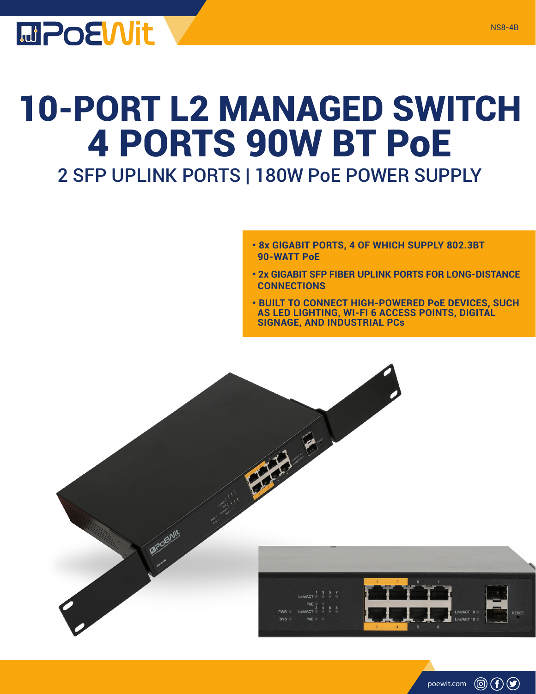

## 10-PORT L2 MANAGED SWITCH 4 PORTS 90W BT PoE

## 2 SFP UPLINK PORTS | 180W PoE POWER SUPPLY

- **8x GIGABIT PORTS, 4 OF WHICH SUPPLY 802.3BT 90-WATT PoE**
- **2x GIGABIT SFP FIBER UPLINK PORTS FOR LONG-DISTANCE CONNECTIONS**
- **BUILT TO CONNECT HIGH-POWERED PoE DEVICES, SUCH AS LED LIGHTING, WI-FI 6 ACCESS POINTS, DIGITAL SIGNAGE, AND INDUSTRIAL PCs**

poewit.com

 $\circledcirc$  (f)  $\circledcirc$